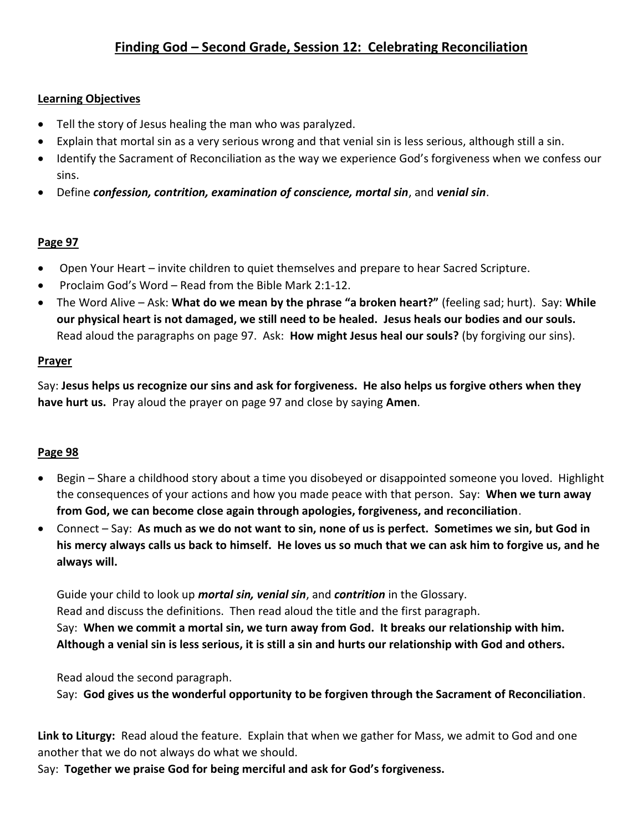# **Learning Objectives**

- Tell the story of Jesus healing the man who was paralyzed.
- Explain that mortal sin as a very serious wrong and that venial sin is less serious, although still a sin.
- Identify the Sacrament of Reconciliation as the way we experience God's forgiveness when we confess our sins.
- Define *confession, contrition, examination of conscience, mortal sin*, and *venial sin*.

# **Page 97**

- Open Your Heart invite children to quiet themselves and prepare to hear Sacred Scripture.
- Proclaim God's Word Read from the Bible Mark 2:1-12.
- The Word Alive Ask: **What do we mean by the phrase "a broken heart?"** (feeling sad; hurt). Say: **While our physical heart is not damaged, we still need to be healed. Jesus heals our bodies and our souls.** Read aloud the paragraphs on page 97. Ask: **How might Jesus heal our souls?** (by forgiving our sins).

### **Prayer**

Say: **Jesus helps us recognize our sins and ask for forgiveness. He also helps us forgive others when they have hurt us.** Pray aloud the prayer on page 97 and close by saying **Amen**.

### **Page 98**

- Begin Share a childhood story about a time you disobeyed or disappointed someone you loved. Highlight the consequences of your actions and how you made peace with that person. Say: **When we turn away from God, we can become close again through apologies, forgiveness, and reconciliation**.
- Connect Say: **As much as we do not want to sin, none of us is perfect. Sometimes we sin, but God in his mercy always calls us back to himself. He loves us so much that we can ask him to forgive us, and he always will.**

Guide your child to look up *mortal sin, venial sin*, and *contrition* in the Glossary. Read and discuss the definitions. Then read aloud the title and the first paragraph. Say: **When we commit a mortal sin, we turn away from God. It breaks our relationship with him. Although a venial sin is less serious, it is still a sin and hurts our relationship with God and others.**

Read aloud the second paragraph.

Say: **God gives us the wonderful opportunity to be forgiven through the Sacrament of Reconciliation**.

**Link to Liturgy:** Read aloud the feature. Explain that when we gather for Mass, we admit to God and one another that we do not always do what we should.

Say: **Together we praise God for being merciful and ask for God's forgiveness.**